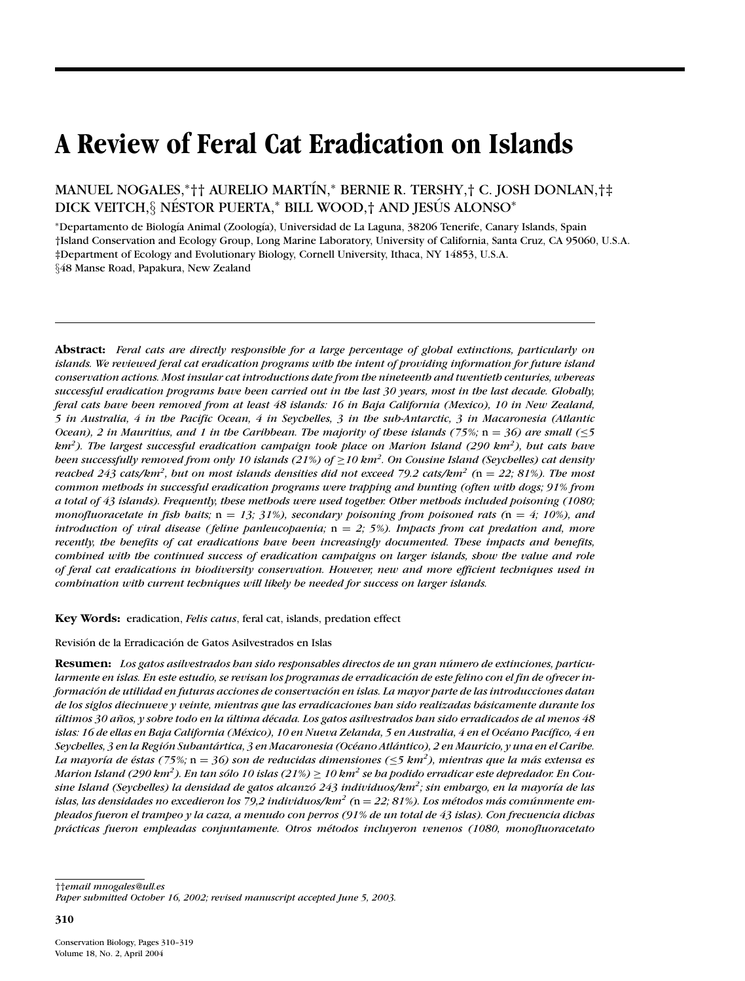# **A Review of Feral Cat Eradication on Islands**

MANUEL NOGALES,∗†† AURELIO MART´IN,<sup>∗</sup> BERNIE R. TERSHY,† C. JOSH DONLAN,†‡ DICK VEITCH, § NÉSTOR PUERTA,\* BILL WOOD, † AND JESÚS ALONSO\*

<sup>∗</sup>Departamento de Biolog´ıa Animal (Zoolog´ıa), Universidad de La Laguna, 38206 Tenerife, Canary Islands, Spain †Island Conservation and Ecology Group, Long Marine Laboratory, University of California, Santa Cruz, CA 95060, U.S.A. ‡Department of Ecology and Evolutionary Biology, Cornell University, Ithaca, NY 14853, U.S.A. §48 Manse Road, Papakura, New Zealand

**Abstract:** *Feral cats are directly responsible for a large percentage of global extinctions, particularly on islands. We reviewed feral cat eradication programs with the intent of providing information for future island conservation actions. Most insular cat introductions date from the nineteenth and twentieth centuries, whereas successful eradication programs have been carried out in the last 30 years, most in the last decade. Globally, feral cats have been removed from at least 48 islands: 16 in Baja California (Mexico), 10 in New Zealand, 5 in Australia, 4 in the Pacific Ocean, 4 in Seychelles, 3 in the sub-Antarctic, 3 in Macaronesia (Atlantic Ocean), 2 in Mauritius, and 1 in the Caribbean. The majority of these islands (75%;* n = *36) are small (*≤*5 km2). The largest successful eradication campaign took place on Marion Island (290 km2), but cats have been successfully removed from only 10 islands (21%) of* ≥*10 km2. On Cousine Island (Seychelles) cat density reached 243 cats/km2, but on most islands densities did not exceed 79.2 cats/km2 (*n = *22; 81%). The most common methods in successful eradication programs were trapping and hunting (often with dogs; 91% from a total of 43 islands). Frequently, these methods were used together. Other methods included poisoning (1080; monofluoracetate in fish baits;*  $n = 13$ ; 31%), secondary poisoning from poisoned rats ( $n = 4$ ; 10%), and *introduction of viral disease ( feline panleucopaenia;* n = *2; 5%). Impacts from cat predation and, more recently, the benefits of cat eradications have been increasingly documented. These impacts and benefits, combined with the continued success of eradication campaigns on larger islands, show the value and role of feral cat eradications in biodiversity conservation. However, new and more efficient techniques used in combination with current techniques will likely be needed for success on larger islands.*

**Key Words:** eradication, *Felis catus*, feral cat, islands, predation effect

Revisión de la Erradicación de Gatos Asilvestrados en Islas

**Resumen:** *Los gatos asilvestrados han sido responsables directos de un gran numero de extinciones, particu- ´ larmente en islas. En este estudio, se revisan los programas de erradicacion de este felino con el fin de ofrecer in- ´ formacion de utilidad en futuras acciones de conservaci ´ on en islas. La mayor parte de las introducciones datan ´ de los siglos diecinueve y veinte, mientras que las erradicaciones han sido realizadas basicamente durante los ´ ultimos 30 a ´ nos, y sobre todo en la ˜ ultima d ´ ´ecada. Los gatos asilvestrados han sido erradicados de al menos 48 islas: 16 de ellas en Baja California (M´exico), 10 en Nueva Zelanda, 5 en Australia, 4 en el Oc´eano Pac´ıfico, 4 en Seychelles, 3 en la Region Subant ´ artica, 3 en Macaronesia (Oc ´ ´eano Atlantico), 2 en Mauricio, y una en el Caribe. ´ La mayoría de éstas (75%; n* = 36) son de reducidas dimensiones ( $\leq$ 5 km<sup>2</sup>), mientras que la más extensa es  $M$ arion Island (290 km²). En tan sólo 10 islas (21%)  $\geq$  10 km² se ba podido erradicar este depredador. En Cou*sine Island (Seychelles) la densidad de gatos alcanzo 243 individuos/km ´ 2; sin embargo, en la mayor´ıa de las islas, las densidades no excedieron los 79,2 individuos/km<sup>2</sup> (* $n = 22$ *; 81%). Los métodos más comúnmente empleados fueron el trampeo y la caza, a menudo con perros (91% de un total de 43 islas). Con frecuencia dichas practicas fueron empleadas conjuntamente. Otros m ´ ´etodos incluyeron venenos (1080, monofluoracetato*

††*email mnogales@ull.es*

**310**

*Paper submitted October 16, 2002; revised manuscript accepted June 5, 2003.*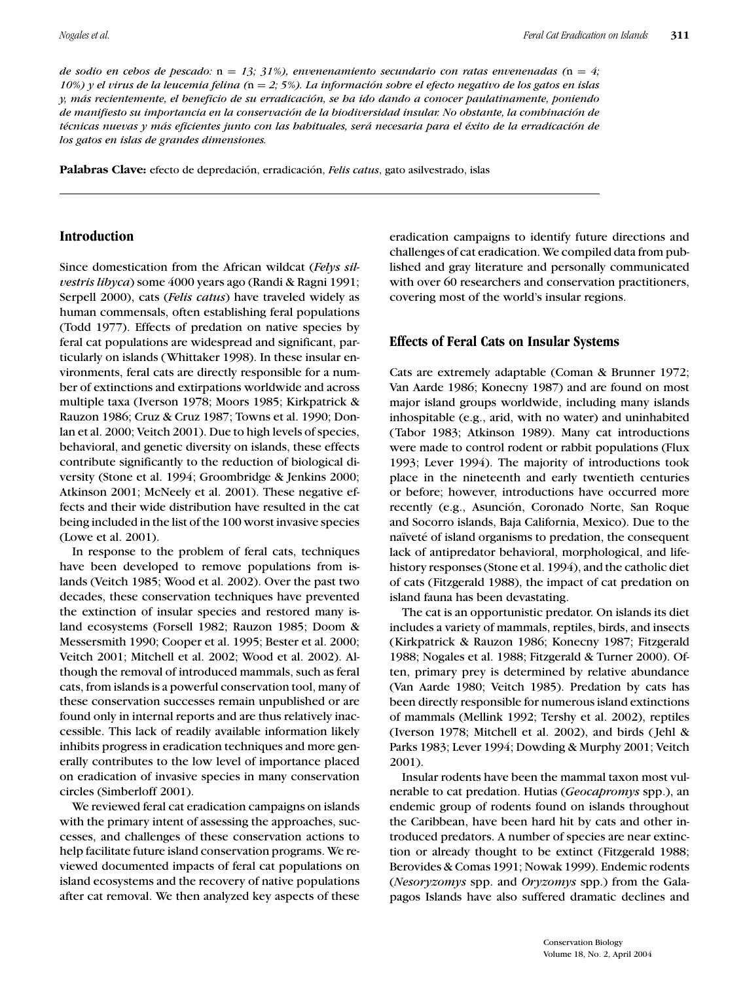*de sodio en cebos de pescado:*  $n = 13$ ; 31%), envenenamiento secundario con ratas envenenadas ( $n = 4$ ; *10%) y el virus de la leucemia felina (*n = *2; 5%). La informacion sobre el efecto negativo de los gatos en islas ´ y, mas recientemente, el beneficio de su erradicaci ´ on, se ha ido dando a conocer paulatinamente, poniendo ´ de manifiesto su importancia en la conservacion de la biodiversidad insular. No obstante, la combinaci ´ on de ´ t´ecnicas nuevas y mas eficientes junto con las habituales, ser ´ a necesaria para el ´ ´exito de la erradicacion de ´ los gatos en islas de grandes dimensiones.*

Palabras Clave: efecto de depredación, erradicación, *Felis catus*, gato asilvestrado, islas

#### **Introduction**

Since domestication from the African wildcat (*Felys silvestris libyca*) some 4000 years ago (Randi & Ragni 1991; Serpell 2000), cats (*Felis catus*) have traveled widely as human commensals, often establishing feral populations (Todd 1977). Effects of predation on native species by feral cat populations are widespread and significant, particularly on islands (Whittaker 1998). In these insular environments, feral cats are directly responsible for a number of extinctions and extirpations worldwide and across multiple taxa (Iverson 1978; Moors 1985; Kirkpatrick & Rauzon 1986; Cruz & Cruz 1987; Towns et al. 1990; Donlan et al. 2000; Veitch 2001). Due to high levels of species, behavioral, and genetic diversity on islands, these effects contribute significantly to the reduction of biological diversity (Stone et al. 1994; Groombridge & Jenkins 2000; Atkinson 2001; McNeely et al. 2001). These negative effects and their wide distribution have resulted in the cat being included in the list of the 100 worst invasive species (Lowe et al. 2001).

In response to the problem of feral cats, techniques have been developed to remove populations from islands (Veitch 1985; Wood et al. 2002). Over the past two decades, these conservation techniques have prevented the extinction of insular species and restored many island ecosystems (Forsell 1982; Rauzon 1985; Doom & Messersmith 1990; Cooper et al. 1995; Bester et al. 2000; Veitch 2001; Mitchell et al. 2002; Wood et al. 2002). Although the removal of introduced mammals, such as feral cats, from islands is a powerful conservation tool, many of these conservation successes remain unpublished or are found only in internal reports and are thus relatively inaccessible. This lack of readily available information likely inhibits progress in eradication techniques and more generally contributes to the low level of importance placed on eradication of invasive species in many conservation circles (Simberloff 2001).

We reviewed feral cat eradication campaigns on islands with the primary intent of assessing the approaches, successes, and challenges of these conservation actions to help facilitate future island conservation programs. We reviewed documented impacts of feral cat populations on island ecosystems and the recovery of native populations after cat removal. We then analyzed key aspects of these eradication campaigns to identify future directions and challenges of cat eradication. We compiled data from published and gray literature and personally communicated with over 60 researchers and conservation practitioners, covering most of the world's insular regions.

## **Effects of Feral Cats on Insular Systems**

Cats are extremely adaptable (Coman & Brunner 1972; Van Aarde 1986; Konecny 1987) and are found on most major island groups worldwide, including many islands inhospitable (e.g., arid, with no water) and uninhabited (Tabor 1983; Atkinson 1989). Many cat introductions were made to control rodent or rabbit populations (Flux 1993; Lever 1994). The majority of introductions took place in the nineteenth and early twentieth centuries or before; however, introductions have occurred more recently (e.g., Asunción, Coronado Norte, San Roque and Socorro islands, Baja California, Mexico). Due to the naïveté of island organisms to predation, the consequent lack of antipredator behavioral, morphological, and lifehistory responses (Stone et al. 1994), and the catholic diet of cats (Fitzgerald 1988), the impact of cat predation on island fauna has been devastating.

The cat is an opportunistic predator. On islands its diet includes a variety of mammals, reptiles, birds, and insects (Kirkpatrick & Rauzon 1986; Konecny 1987; Fitzgerald 1988; Nogales et al. 1988; Fitzgerald & Turner 2000). Often, primary prey is determined by relative abundance (Van Aarde 1980; Veitch 1985). Predation by cats has been directly responsible for numerous island extinctions of mammals (Mellink 1992; Tershy et al. 2002), reptiles (Iverson 1978; Mitchell et al. 2002), and birds ( Jehl & Parks 1983; Lever 1994; Dowding & Murphy 2001; Veitch 2001).

Insular rodents have been the mammal taxon most vulnerable to cat predation. Hutias (*Geocapromys* spp.), an endemic group of rodents found on islands throughout the Caribbean, have been hard hit by cats and other introduced predators. A number of species are near extinction or already thought to be extinct (Fitzgerald 1988; Berovides & Comas 1991; Nowak 1999). Endemic rodents (*Nesoryzomys* spp. and *Oryzomys* spp.) from the Galapagos Islands have also suffered dramatic declines and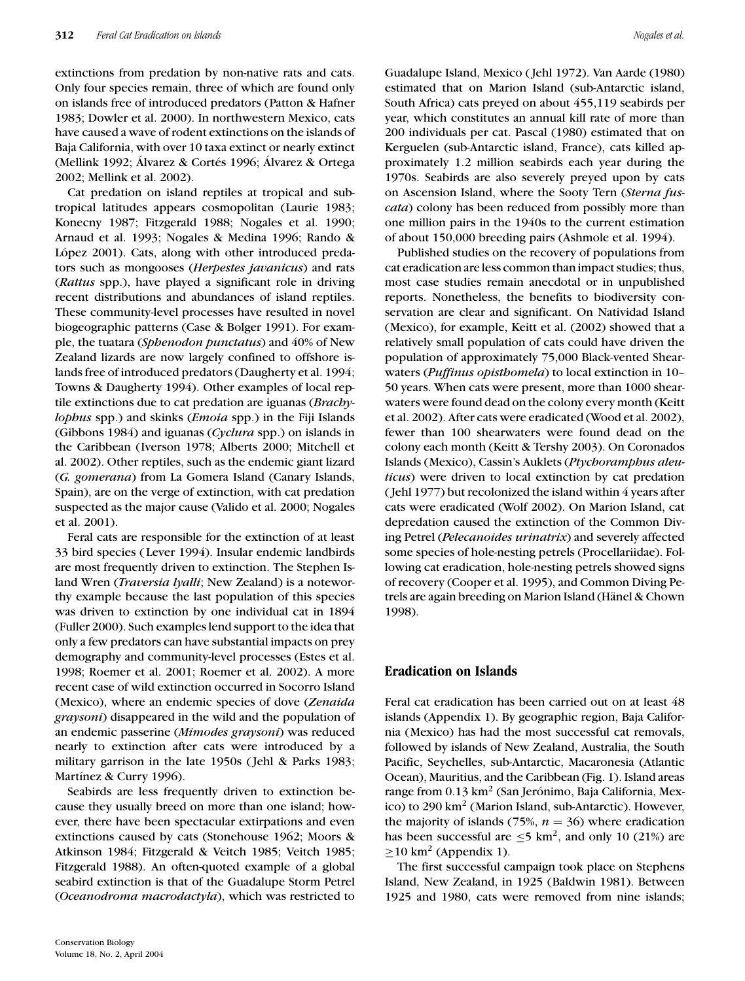extinctions from predation by non-native rats and cats. Only four species remain, three of which are found only on islands free of introduced predators (Patton & Hafner 1983; Dowler et al. 2000). In northwestern Mexico, cats have caused a wave of rodent extinctions on the islands of Baja California, with over 10 taxa extinct or nearly extinct (Mellink 1992; Álvarez & Cortés 1996; Álvarez & Ortega 2002; Mellink et al. 2002).

Cat predation on island reptiles at tropical and subtropical latitudes appears cosmopolitan (Laurie 1983; Konecny 1987; Fitzgerald 1988; Nogales et al. 1990; Arnaud et al. 1993; Nogales & Medina 1996; Rando & López 2001). Cats, along with other introduced predators such as mongooses (*Herpestes javanicus*) and rats (*Rattus* spp.), have played a significant role in driving recent distributions and abundances of island reptiles. These community-level processes have resulted in novel biogeographic patterns (Case & Bolger 1991). For example, the tuatara (*Sphenodon punctatus*) and 40% of New Zealand lizards are now largely confined to offshore islands free of introduced predators (Daugherty et al. 1994; Towns & Daugherty 1994). Other examples of local reptile extinctions due to cat predation are iguanas (*Brachylophus* spp.) and skinks (*Emoia* spp.) in the Fiji Islands (Gibbons 1984) and iguanas (*Cyclura* spp.) on islands in the Caribbean (Iverson 1978; Alberts 2000; Mitchell et al. 2002). Other reptiles, such as the endemic giant lizard (*G. gomerana*) from La Gomera Island (Canary Islands, Spain), are on the verge of extinction, with cat predation suspected as the major cause (Valido et al. 2000; Nogales et al. 2001).

Feral cats are responsible for the extinction of at least 33 bird species ( Lever 1994). Insular endemic landbirds are most frequently driven to extinction. The Stephen Island Wren (*Traversia lyalli*; New Zealand) is a noteworthy example because the last population of this species was driven to extinction by one individual cat in 1894 (Fuller 2000). Such examples lend support to the idea that only a few predators can have substantial impacts on prey demography and community-level processes (Estes et al. 1998; Roemer et al. 2001; Roemer et al. 2002). A more recent case of wild extinction occurred in Socorro Island (Mexico), where an endemic species of dove (*Zenaida graysoni*) disappeared in the wild and the population of an endemic passerine (*Mimodes graysoni*) was reduced nearly to extinction after cats were introduced by a military garrison in the late 1950s ( Jehl & Parks 1983; Martínez & Curry 1996).

Seabirds are less frequently driven to extinction because they usually breed on more than one island; however, there have been spectacular extirpations and even extinctions caused by cats (Stonehouse 1962; Moors & Atkinson 1984; Fitzgerald & Veitch 1985; Veitch 1985; Fitzgerald 1988). An often-quoted example of a global seabird extinction is that of the Guadalupe Storm Petrel (*Oceanodroma macrodactyla*), which was restricted to

Guadalupe Island, Mexico ( Jehl 1972). Van Aarde (1980) estimated that on Marion Island (sub-Antarctic island, South Africa) cats preyed on about 455,119 seabirds per year, which constitutes an annual kill rate of more than 200 individuals per cat. Pascal (1980) estimated that on Kerguelen (sub-Antarctic island, France), cats killed approximately 1.2 million seabirds each year during the 1970s. Seabirds are also severely preyed upon by cats on Ascension Island, where the Sooty Tern (*Sterna fuscata*) colony has been reduced from possibly more than one million pairs in the 1940s to the current estimation of about 150,000 breeding pairs (Ashmole et al. 1994).

Published studies on the recovery of populations from cat eradication are less common than impact studies; thus, most case studies remain anecdotal or in unpublished reports. Nonetheless, the benefits to biodiversity conservation are clear and significant. On Natividad Island (Mexico), for example, Keitt et al. (2002) showed that a relatively small population of cats could have driven the population of approximately 75,000 Black-vented Shearwaters (*Puffinus opisthomela*) to local extinction in 10– 50 years. When cats were present, more than 1000 shearwaters were found dead on the colony every month (Keitt et al. 2002). After cats were eradicated (Wood et al. 2002), fewer than 100 shearwaters were found dead on the colony each month (Keitt & Tershy 2003). On Coronados Islands (Mexico), Cassin's Auklets (*Ptychoramphus aleuticus*) were driven to local extinction by cat predation ( Jehl 1977) but recolonized the island within 4 years after cats were eradicated (Wolf 2002). On Marion Island, cat depredation caused the extinction of the Common Diving Petrel (*Pelecanoides urinatrix*) and severely affected some species of hole-nesting petrels (Procellariidae). Following cat eradication, hole-nesting petrels showed signs of recovery (Cooper et al. 1995), and Common Diving Petrels are again breeding on Marion Island (Hänel & Chown 1998).

## **Eradication on Islands**

Feral cat eradication has been carried out on at least 48 islands (Appendix 1). By geographic region, Baja California (Mexico) has had the most successful cat removals, followed by islands of New Zealand, Australia, the South Pacific, Seychelles, sub-Antarctic, Macaronesia (Atlantic Ocean), Mauritius, and the Caribbean (Fig. 1). Island areas range from 0.13 km<sup>2</sup> (San Jerónimo, Baja California, Mexico) to 290 km<sup>2</sup> (Marion Island, sub-Antarctic). However, the majority of islands (75%,  $n = 36$ ) where eradication has been successful are  $\leq$ 5 km<sup>2</sup>, and only 10 (21%) are  $>10$  km<sup>2</sup> (Appendix 1).

The first successful campaign took place on Stephens Island, New Zealand, in 1925 (Baldwin 1981). Between 1925 and 1980, cats were removed from nine islands;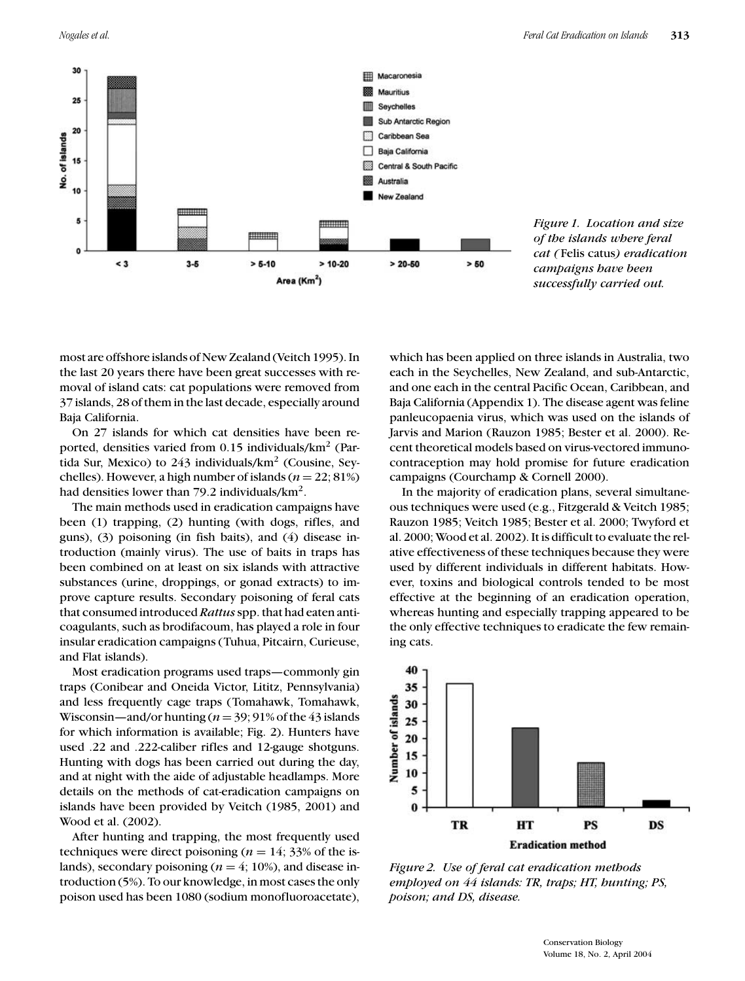

most are offshore islands of New Zealand (Veitch 1995). In the last 20 years there have been great successes with removal of island cats: cat populations were removed from 37 islands, 28 of them in the last decade, especially around Baja California.

On 27 islands for which cat densities have been reported, densities varied from  $0.15$  individuals/ $km<sup>2</sup>$  (Partida Sur, Mexico) to  $243$  individuals/km<sup>2</sup> (Cousine, Seychelles). However, a high number of islands  $(n = 22, 81\%)$ had densities lower than 79.2 individuals/km<sup>2</sup>.

The main methods used in eradication campaigns have been (1) trapping, (2) hunting (with dogs, rifles, and guns), (3) poisoning (in fish baits), and (4) disease introduction (mainly virus). The use of baits in traps has been combined on at least on six islands with attractive substances (urine, droppings, or gonad extracts) to improve capture results. Secondary poisoning of feral cats that consumed introduced *Rattus*spp. that had eaten anticoagulants, such as brodifacoum, has played a role in four insular eradication campaigns (Tuhua, Pitcairn, Curieuse, and Flat islands).

Most eradication programs used traps—commonly gin traps (Conibear and Oneida Victor, Lititz, Pennsylvania) and less frequently cage traps (Tomahawk, Tomahawk, Wisconsin—and/or hunting  $(n = 39; 91\%$  of the 43 islands for which information is available; Fig. 2). Hunters have used .22 and .222-caliber rifles and 12-gauge shotguns. Hunting with dogs has been carried out during the day, and at night with the aide of adjustable headlamps. More details on the methods of cat-eradication campaigns on islands have been provided by Veitch (1985, 2001) and Wood et al. (2002).

After hunting and trapping, the most frequently used techniques were direct poisoning ( $n = 14$ ; 33% of the islands), secondary poisoning ( $n = 4$ ; 10%), and disease introduction (5%). To our knowledge, in most cases the only poison used has been 1080 (sodium monofluoroacetate),

which has been applied on three islands in Australia, two each in the Seychelles, New Zealand, and sub-Antarctic, and one each in the central Pacific Ocean, Caribbean, and Baja California (Appendix 1). The disease agent was feline panleucopaenia virus, which was used on the islands of Jarvis and Marion (Rauzon 1985; Bester et al. 2000). Recent theoretical models based on virus-vectored immunocontraception may hold promise for future eradication campaigns (Courchamp & Cornell 2000).

In the majority of eradication plans, several simultaneous techniques were used (e.g., Fitzgerald & Veitch 1985; Rauzon 1985; Veitch 1985; Bester et al. 2000; Twyford et al. 2000; Wood et al. 2002). It is difficult to evaluate the relative effectiveness of these techniques because they were used by different individuals in different habitats. However, toxins and biological controls tended to be most effective at the beginning of an eradication operation, whereas hunting and especially trapping appeared to be the only effective techniques to eradicate the few remaining cats.



*Figure 2. Use of feral cat eradication methods employed on 44 islands: TR, traps; HT, hunting; PS, poison; and DS, disease.*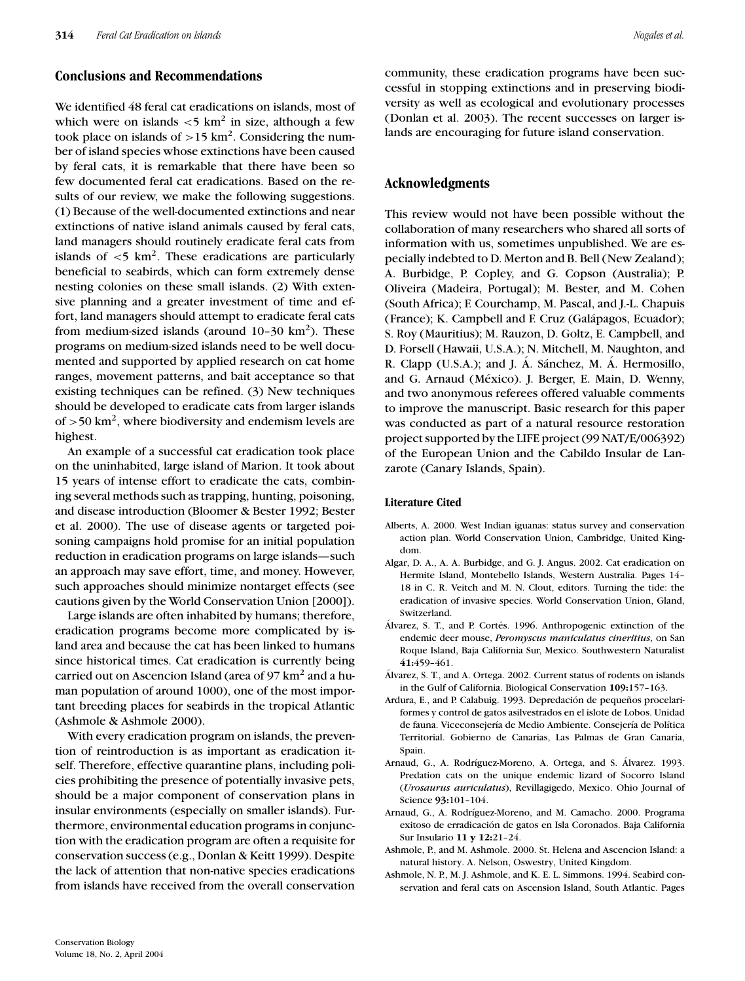### **Conclusions and Recommendations**

We identified 48 feral cat eradications on islands, most of which were on islands  $\langle 5 \text{ km}^2 \rangle$  in size, although a few took place on islands of  $>15$  km<sup>2</sup>. Considering the number of island species whose extinctions have been caused by feral cats, it is remarkable that there have been so few documented feral cat eradications. Based on the results of our review, we make the following suggestions. (1) Because of the well-documented extinctions and near extinctions of native island animals caused by feral cats, land managers should routinely eradicate feral cats from islands of  $\langle 5 \text{ km}^2 \rangle$ . These eradications are particularly beneficial to seabirds, which can form extremely dense nesting colonies on these small islands. (2) With extensive planning and a greater investment of time and effort, land managers should attempt to eradicate feral cats from medium-sized islands (around  $10-30 \text{ km}^2$ ). These programs on medium-sized islands need to be well documented and supported by applied research on cat home ranges, movement patterns, and bait acceptance so that existing techniques can be refined. (3) New techniques should be developed to eradicate cats from larger islands of  $>50$  km<sup>2</sup>, where biodiversity and endemism levels are highest.

An example of a successful cat eradication took place on the uninhabited, large island of Marion. It took about 15 years of intense effort to eradicate the cats, combining several methods such as trapping, hunting, poisoning, and disease introduction (Bloomer & Bester 1992; Bester et al. 2000). The use of disease agents or targeted poisoning campaigns hold promise for an initial population reduction in eradication programs on large islands—such an approach may save effort, time, and money. However, such approaches should minimize nontarget effects (see cautions given by the World Conservation Union [2000]).

Large islands are often inhabited by humans; therefore, eradication programs become more complicated by island area and because the cat has been linked to humans since historical times. Cat eradication is currently being carried out on Ascencion Island (area of  $97 \text{ km}^2$  and a human population of around 1000), one of the most important breeding places for seabirds in the tropical Atlantic (Ashmole & Ashmole 2000).

With every eradication program on islands, the prevention of reintroduction is as important as eradication itself. Therefore, effective quarantine plans, including policies prohibiting the presence of potentially invasive pets, should be a major component of conservation plans in insular environments (especially on smaller islands). Furthermore, environmental education programs in conjunction with the eradication program are often a requisite for conservation success (e.g., Donlan & Keitt 1999). Despite the lack of attention that non-native species eradications from islands have received from the overall conservation

community, these eradication programs have been successful in stopping extinctions and in preserving biodiversity as well as ecological and evolutionary processes (Donlan et al. 2003). The recent successes on larger islands are encouraging for future island conservation.

### **Acknowledgments**

This review would not have been possible without the collaboration of many researchers who shared all sorts of information with us, sometimes unpublished. We are especially indebted to D. Merton and B. Bell (New Zealand); A. Burbidge, P. Copley, and G. Copson (Australia); P. Oliveira (Madeira, Portugal); M. Bester, and M. Cohen (South Africa); F. Courchamp, M. Pascal, and J.-L. Chapuis (France); K. Campbell and F. Cruz (Galápagos, Ecuador); S. Roy (Mauritius); M. Rauzon, D. Goltz, E. Campbell, and D. Forsell (Hawaii, U.S.A.); N. Mitchell, M. Naughton, and R. Clapp (U.S.A.); and J. Á. Sánchez, M. Á. Hermosillo, and G. Arnaud (México). J. Berger, E. Main, D. Wenny, and two anonymous referees offered valuable comments to improve the manuscript. Basic research for this paper was conducted as part of a natural resource restoration project supported by the LIFE project (99 NAT/E/006392) of the European Union and the Cabildo Insular de Lanzarote (Canary Islands, Spain).

#### **Literature Cited**

- Alberts, A. 2000. West Indian iguanas: status survey and conservation action plan. World Conservation Union, Cambridge, United Kingdom.
- Algar, D. A., A. A. Burbidge, and G. J. Angus. 2002. Cat eradication on Hermite Island, Montebello Islands, Western Australia. Pages 14– 18 in C. R. Veitch and M. N. Clout, editors. Turning the tide: the eradication of invasive species. World Conservation Union, Gland, Switzerland.
- Álvarez, S. T., and P. Cortés. 1996. Anthropogenic extinction of the endemic deer mouse, *Peromyscus maniculatus cineritius*, on San Roque Island, Baja California Sur, Mexico. Southwestern Naturalist **41:**459–461.
- Alvarez, S. T., and A. Ortega. 2002. Current status of rodents on islands ´ in the Gulf of California. Biological Conservation **109:**157–163.
- Ardura, E., and P. Calabuig. 1993. Depredación de pequeños procelariformes y control de gatos asilvestrados en el islote de Lobos. Unidad de fauna. Viceconsejería de Medio Ambiente. Consejería de Política Territorial. Gobierno de Canarias, Las Palmas de Gran Canaria, Spain.
- Arnaud, G., A. Rodríguez-Moreno, A. Ortega, and S. Alvarez. 1993. Predation cats on the unique endemic lizard of Socorro Island (*Urosaurus auriculatus*), Revillagigedo, Mexico. Ohio Journal of Science **93:**101–104.
- Arnaud, G., A. Rodríguez-Moreno, and M. Camacho. 2000. Programa exitoso de erradicacion de gatos en Isla Coronados. Baja California ´ Sur Insulario **11 y 12:**21–24.
- Ashmole, P., and M. Ashmole. 2000. St. Helena and Ascencion Island: a natural history. A. Nelson, Oswestry, United Kingdom.
- Ashmole, N. P., M. J. Ashmole, and K. E. L. Simmons. 1994. Seabird conservation and feral cats on Ascension Island, South Atlantic. Pages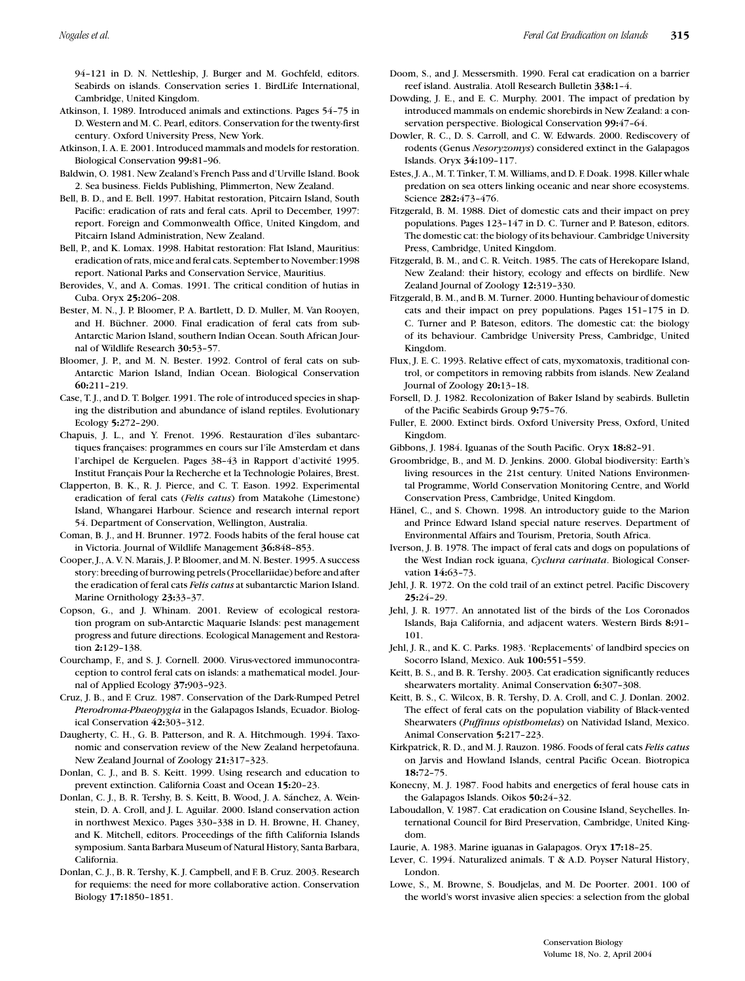94–121 in D. N. Nettleship, J. Burger and M. Gochfeld, editors. Seabirds on islands. Conservation series 1. BirdLife International, Cambridge, United Kingdom.

- Atkinson, I. 1989. Introduced animals and extinctions. Pages 54–75 in D. Western and M. C. Pearl, editors. Conservation for the twenty-first century. Oxford University Press, New York.
- Atkinson, I. A. E. 2001. Introduced mammals and models for restoration. Biological Conservation **99:**81–96.
- Baldwin, O. 1981. New Zealand's French Pass and d'Urville Island. Book 2. Sea business. Fields Publishing, Plimmerton, New Zealand.
- Bell, B. D., and E. Bell. 1997. Habitat restoration, Pitcairn Island, South Pacific: eradication of rats and feral cats. April to December, 1997: report. Foreign and Commonwealth Office, United Kingdom, and Pitcairn Island Administration, New Zealand.
- Bell, P., and K. Lomax. 1998. Habitat restoration: Flat Island, Mauritius: eradication of rats, mice and feral cats. September to November:1998 report. National Parks and Conservation Service, Mauritius.
- Berovides, V., and A. Comas. 1991. The critical condition of hutias in Cuba. Oryx **25:**206–208.
- Bester, M. N., J. P. Bloomer, P. A. Bartlett, D. D. Muller, M. Van Rooyen, and H. Büchner. 2000. Final eradication of feral cats from sub-Antarctic Marion Island, southern Indian Ocean. South African Journal of Wildlife Research **30:**53–57.
- Bloomer, J. P., and M. N. Bester. 1992. Control of feral cats on sub-Antarctic Marion Island, Indian Ocean. Biological Conservation **60:**211–219.
- Case, T. J., and D. T. Bolger. 1991. The role of introduced species in shaping the distribution and abundance of island reptiles. Evolutionary Ecology **5:**272–290.
- Chapuis, J. L., and Y. Frenot. 1996. Restauration d'îles subantarctiques françaises: programmes en cours sur l'île Amsterdam et dans l'archipel de Kerguelen. Pages 38-43 in Rapport d'activité 1995. Institut Francais Pour la Recherche et la Technologie Polaires, Brest. ¸
- Clapperton, B. K., R. J. Pierce, and C. T. Eason. 1992. Experimental eradication of feral cats (*Felis catus*) from Matakohe (Limestone) Island, Whangarei Harbour. Science and research internal report 54. Department of Conservation, Wellington, Australia.
- Coman, B. J., and H. Brunner. 1972. Foods habits of the feral house cat in Victoria. Journal of Wildlife Management **36:**848–853.
- Cooper, J., A. V. N. Marais, J. P. Bloomer, and M. N. Bester. 1995. A success story: breeding of burrowing petrels (Procellariidae) before and after the eradication of feral cats *Felis catus* at subantarctic Marion Island. Marine Ornithology **23:**33–37.
- Copson, G., and J. Whinam. 2001. Review of ecological restoration program on sub-Antarctic Maquarie Islands: pest management progress and future directions. Ecological Management and Restoration **2:**129–138.
- Courchamp, F., and S. J. Cornell. 2000. Virus-vectored immunocontraception to control feral cats on islands: a mathematical model. Journal of Applied Ecology **37:**903–923.
- Cruz, J. B., and F. Cruz. 1987. Conservation of the Dark-Rumped Petrel *Pterodroma-Phaeopygia* in the Galapagos Islands, Ecuador. Biological Conservation **42:**303–312.
- Daugherty, C. H., G. B. Patterson, and R. A. Hitchmough. 1994. Taxonomic and conservation review of the New Zealand herpetofauna. New Zealand Journal of Zoology **21:**317–323.
- Donlan, C. J., and B. S. Keitt. 1999. Using research and education to prevent extinction. California Coast and Ocean **15:**20–23.
- Donlan, C. J., B. R. Tershy, B. S. Keitt, B. Wood, J. A. Sánchez, A. Weinstein, D. A. Croll, and J. L. Aguilar. 2000. Island conservation action in northwest Mexico. Pages 330–338 in D. H. Browne, H. Chaney, and K. Mitchell, editors. Proceedings of the fifth California Islands symposium. Santa Barbara Museum of Natural History, Santa Barbara, California.
- Donlan, C. J., B. R. Tershy, K. J. Campbell, and F. B. Cruz. 2003. Research for requiems: the need for more collaborative action. Conservation Biology **17:**1850–1851.
- Doom, S., and J. Messersmith. 1990. Feral cat eradication on a barrier reef island. Australia. Atoll Research Bulletin **338:**1–4.
- Dowding, J. E., and E. C. Murphy. 2001. The impact of predation by introduced mammals on endemic shorebirds in New Zealand: a conservation perspective. Biological Conservation **99:**47–64.
- Dowler, R. C., D. S. Carroll, and C. W. Edwards. 2000. Rediscovery of rodents (Genus *Nesoryzomys*) considered extinct in the Galapagos Islands. Oryx **34:**109–117.
- Estes, J. A., M. T. Tinker, T. M. Williams, and D. F. Doak. 1998. Killer whale predation on sea otters linking oceanic and near shore ecosystems. Science **282:**473–476.
- Fitzgerald, B. M. 1988. Diet of domestic cats and their impact on prey populations. Pages 123–147 in D. C. Turner and P. Bateson, editors. The domestic cat: the biology of its behaviour. Cambridge University Press, Cambridge, United Kingdom.
- Fitzgerald, B. M., and C. R. Veitch. 1985. The cats of Herekopare Island, New Zealand: their history, ecology and effects on birdlife. New Zealand Journal of Zoology **12:**319–330.
- Fitzgerald, B. M., and B. M. Turner. 2000. Hunting behaviour of domestic cats and their impact on prey populations. Pages 151–175 in D. C. Turner and P. Bateson, editors. The domestic cat: the biology of its behaviour. Cambridge University Press, Cambridge, United Kingdom.
- Flux, J. E. C. 1993. Relative effect of cats, myxomatoxis, traditional control, or competitors in removing rabbits from islands. New Zealand Journal of Zoology **20:**13–18.
- Forsell, D. J. 1982. Recolonization of Baker Island by seabirds. Bulletin of the Pacific Seabirds Group **9:**75–76.
- Fuller, E. 2000. Extinct birds. Oxford University Press, Oxford, United Kingdom.
- Gibbons, J. 1984. Iguanas of the South Pacific. Oryx **18:**82–91.
- Groombridge, B., and M. D. Jenkins. 2000. Global biodiversity: Earth's living resources in the 21st century. United Nations Environmental Programme, World Conservation Monitoring Centre, and World Conservation Press, Cambridge, United Kingdom.
- Hänel, C., and S. Chown. 1998. An introductory guide to the Marion and Prince Edward Island special nature reserves. Department of Environmental Affairs and Tourism, Pretoria, South Africa.
- Iverson, J. B. 1978. The impact of feral cats and dogs on populations of the West Indian rock iguana, *Cyclura carinata*. Biological Conservation **14:**63–73.
- Jehl, J. R. 1972. On the cold trail of an extinct petrel. Pacific Discovery **25:**24–29.
- Jehl, J. R. 1977. An annotated list of the birds of the Los Coronados Islands, Baja California, and adjacent waters. Western Birds **8:**91– 101.
- Jehl, J. R., and K. C. Parks. 1983. 'Replacements' of landbird species on Socorro Island, Mexico. Auk **100:**551–559.
- Keitt, B. S., and B. R. Tershy. 2003. Cat eradication significantly reduces shearwaters mortality. Animal Conservation **6:**307–308.
- Keitt, B. S., C. Wilcox, B. R. Tershy, D. A. Croll, and C. J. Donlan. 2002. The effect of feral cats on the population viability of Black-vented Shearwaters (*Puffinus opisthomelas*) on Natividad Island, Mexico. Animal Conservation **5:**217–223.
- Kirkpatrick, R. D., and M. J. Rauzon. 1986. Foods of feral cats *Felis catus* on Jarvis and Howland Islands, central Pacific Ocean. Biotropica **18:**72–75.
- Konecny, M. J. 1987. Food habits and energetics of feral house cats in the Galapagos Islands. Oikos **50:**24–32.
- Laboudallon, V. 1987. Cat eradication on Cousine Island, Seychelles. International Council for Bird Preservation, Cambridge, United Kingdom.
- Laurie, A. 1983. Marine iguanas in Galapagos. Oryx **17:**18–25.
- Lever, C. 1994. Naturalized animals. T & A.D. Poyser Natural History, London.
- Lowe, S., M. Browne, S. Boudjelas, and M. De Poorter. 2001. 100 of the world's worst invasive alien species: a selection from the global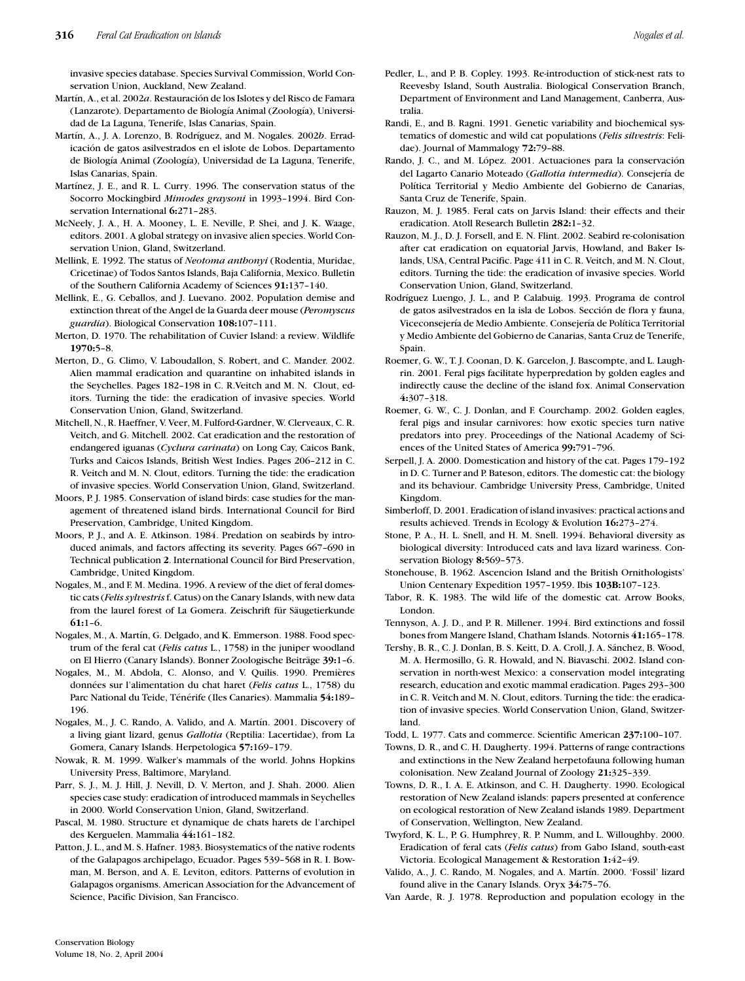invasive species database. Species Survival Commission, World Conservation Union, Auckland, New Zealand.

- Martín, A., et al. 2002a. Restauración de los Islotes y del Risco de Famara (Lanzarote). Departamento de Biología Animal (Zoología), Universidad de La Laguna, Tenerife, Islas Canarias, Spain.
- Martín, A., J. A. Lorenzo, B. Rodríguez, and M. Nogales. 2002b. Erradicación de gatos asilvestrados en el islote de Lobos. Departamento de Biología Animal (Zoología), Universidad de La Laguna, Tenerife, Islas Canarias, Spain.
- Martínez, J. E., and R. L. Curry. 1996. The conservation status of the Socorro Mockingbird *Mimodes graysoni* in 1993–1994. Bird Conservation International **6:**271–283.
- McNeely, J. A., H. A. Mooney, L. E. Neville, P. Shei, and J. K. Waage, editors. 2001. A global strategy on invasive alien species. World Conservation Union, Gland, Switzerland.
- Mellink, E. 1992. The status of *Neotoma anthonyi* (Rodentia, Muridae, Cricetinae) of Todos Santos Islands, Baja California, Mexico. Bulletin of the Southern California Academy of Sciences **91:**137–140.
- Mellink, E., G. Ceballos, and J. Luevano. 2002. Population demise and extinction threat of the Angel de la Guarda deer mouse (*Peromyscus guardia*). Biological Conservation **108:**107–111.
- Merton, D. 1970. The rehabilitation of Cuvier Island: a review. Wildlife **1970:**5–8.
- Merton, D., G. Climo, V. Laboudallon, S. Robert, and C. Mander. 2002. Alien mammal eradication and quarantine on inhabited islands in the Seychelles. Pages 182–198 in C. R.Veitch and M. N. Clout, editors. Turning the tide: the eradication of invasive species. World Conservation Union, Gland, Switzerland.
- Mitchell, N., R. Haeffner, V. Veer, M. Fulford-Gardner, W. Clerveaux, C. R. Veitch, and G. Mitchell. 2002. Cat eradication and the restoration of endangered iguanas (*Cyclura carinata*) on Long Cay, Caicos Bank, Turks and Caicos Islands, British West Indies. Pages 206–212 in C. R. Veitch and M. N. Clout, editors. Turning the tide: the eradication of invasive species. World Conservation Union, Gland, Switzerland.
- Moors, P. J. 1985. Conservation of island birds: case studies for the management of threatened island birds. International Council for Bird Preservation, Cambridge, United Kingdom.
- Moors, P. J., and A. E. Atkinson. 1984. Predation on seabirds by introduced animals, and factors affecting its severity. Pages 667–690 in Technical publication **2**. International Council for Bird Preservation, Cambridge, United Kingdom.
- Nogales, M., and F. M. Medina. 1996. A review of the diet of feral domestic cats (*Felis sylvestris*f. Catus) on the Canary Islands, with new data from the laurel forest of La Gomera. Zeischrift für Säugetierkunde **61:**1–6.
- Nogales, M., A. Martín, G. Delgado, and K. Emmerson. 1988. Food spectrum of the feral cat (*Felis catus* L., 1758) in the juniper woodland on El Hierro (Canary Islands). Bonner Zoologische Beiträge 39:1-6.
- Nogales, M., M. Abdola, C. Alonso, and V. Quilis. 1990. Premières données sur l'alimentation du chat haret (*Felis catus* L., 1758) du Parc National du Teide, Ténérife (Iles Canaries). Mammalia 54:189-196.
- Nogales, M., J. C. Rando, A. Valido, and A. Martín. 2001. Discovery of a living giant lizard, genus *Gallotia* (Reptilia: Lacertidae), from La Gomera, Canary Islands. Herpetologica **57:**169–179.
- Nowak, R. M. 1999. Walker's mammals of the world. Johns Hopkins University Press, Baltimore, Maryland.
- Parr, S. J., M. J. Hill, J. Nevill, D. V. Merton, and J. Shah. 2000. Alien species case study: eradication of introduced mammals in Seychelles in 2000. World Conservation Union, Gland, Switzerland.
- Pascal, M. 1980. Structure et dynamique de chats harets de l'archipel des Kerguelen. Mammalia **44:**161–182.
- Patton, J. L., and M. S. Hafner. 1983. Biosystematics of the native rodents of the Galapagos archipelago, Ecuador. Pages 539–568 in R. I. Bowman, M. Berson, and A. E. Leviton, editors. Patterns of evolution in Galapagos organisms. American Association for the Advancement of Science, Pacific Division, San Francisco.
- tralia. Randi, E., and B. Ragni. 1991. Genetic variability and biochemical systematics of domestic and wild cat populations (*Felis silvestris*: Felidae). Journal of Mammalogy **72:**79–88.
- Rando, J. C., and M. López. 2001. Actuaciones para la conservación del Lagarto Canario Moteado (Gallotia intermedia). Consejería de Política Territorial y Medio Ambiente del Gobierno de Canarias, Santa Cruz de Tenerife, Spain.
- Rauzon, M. J. 1985. Feral cats on Jarvis Island: their effects and their eradication. Atoll Research Bulletin **282:**1–32.
- Rauzon, M. J., D. J. Forsell, and E. N. Flint. 2002. Seabird re-colonisation after cat eradication on equatorial Jarvis, Howland, and Baker Islands, USA, Central Pacific. Page 411 in C. R. Veitch, and M. N. Clout, editors. Turning the tide: the eradication of invasive species. World Conservation Union, Gland, Switzerland.
- Rodríguez Luengo, J. L., and P. Calabuig. 1993. Programa de control de gatos asilvestrados en la isla de Lobos. Seccion de flora y fauna, ´ Viceconsejería de Medio Ambiente. Consejería de Política Territorial y Medio Ambiente del Gobierno de Canarias, Santa Cruz de Tenerife, Spain.
- Roemer, G. W., T. J. Coonan, D. K. Garcelon, J. Bascompte, and L. Laughrin. 2001. Feral pigs facilitate hyperpredation by golden eagles and indirectly cause the decline of the island fox. Animal Conservation **4:**307–318.
- Roemer, G. W., C. J. Donlan, and F. Courchamp. 2002. Golden eagles, feral pigs and insular carnivores: how exotic species turn native predators into prey. Proceedings of the National Academy of Sciences of the United States of America **99:**791–796.
- Serpell, J. A. 2000. Domestication and history of the cat. Pages 179–192 in D. C. Turner and P. Bateson, editors. The domestic cat: the biology and its behaviour. Cambridge University Press, Cambridge, United Kingdom.
- Simberloff, D. 2001. Eradication of island invasives: practical actions and results achieved. Trends in Ecology & Evolution **16:**273–274.
- Stone, P. A., H. L. Snell, and H. M. Snell. 1994. Behavioral diversity as biological diversity: Introduced cats and lava lizard wariness. Conservation Biology **8:**569–573.
- Stonehouse, B. 1962. Ascencion Island and the British Ornithologists' Union Centenary Expedition 1957–1959. Ibis **103B:**107–123.
- Tabor, R. K. 1983. The wild life of the domestic cat. Arrow Books, London.
- Tennyson, A. J. D., and P. R. Millener. 1994. Bird extinctions and fossil bones from Mangere Island, Chatham Islands. Notornis **41:**165–178.
- Tershy, B. R., C. J. Donlan, B. S. Keitt, D. A. Croll, J. A. Sánchez, B. Wood, M. A. Hermosillo, G. R. Howald, and N. Biavaschi. 2002. Island conservation in north-west Mexico: a conservation model integrating research, education and exotic mammal eradication. Pages 293–300 in C. R. Veitch and M. N. Clout, editors. Turning the tide: the eradication of invasive species. World Conservation Union, Gland, Switzerland.
- Todd, L. 1977. Cats and commerce. Scientific American **237:**100–107.
- Towns, D. R., and C. H. Daugherty. 1994. Patterns of range contractions and extinctions in the New Zealand herpetofauna following human colonisation. New Zealand Journal of Zoology **21:**325–339.
- Towns, D. R., I. A. E. Atkinson, and C. H. Daugherty. 1990. Ecological restoration of New Zealand islands: papers presented at conference on ecological restoration of New Zealand islands 1989. Department of Conservation, Wellington, New Zealand.
- Twyford, K. L., P. G. Humphrey, R. P. Numm, and L. Willoughby. 2000. Eradication of feral cats (*Felis catus*) from Gabo Island, south-east Victoria. Ecological Management & Restoration **1:**42–49.
- Valido, A., J. C. Rando, M. Nogales, and A. Martín. 2000. 'Fossil' lizard found alive in the Canary Islands. Oryx **34:**75–76.
- Van Aarde, R. J. 1978. Reproduction and population ecology in the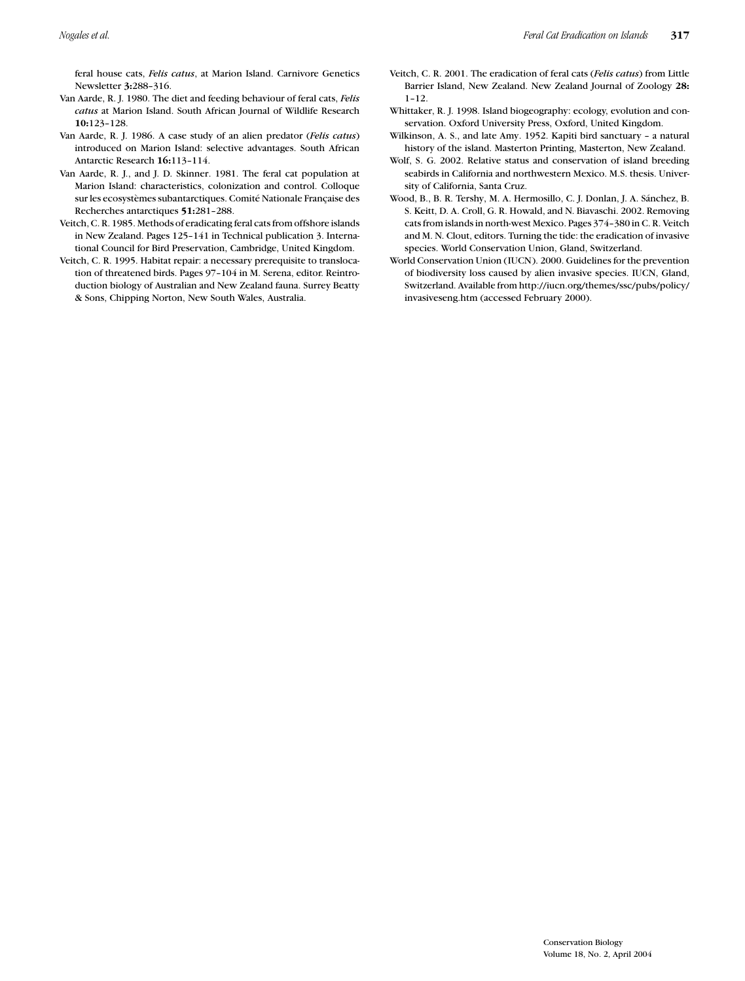feral house cats, *Felis catus*, at Marion Island. Carnivore Genetics Newsletter **3:**288–316.

- Van Aarde, R. J. 1980. The diet and feeding behaviour of feral cats, *Felis catus* at Marion Island. South African Journal of Wildlife Research **10:**123–128.
- Van Aarde, R. J. 1986. A case study of an alien predator (*Felis catus*) introduced on Marion Island: selective advantages. South African Antarctic Research **16:**113–114.
- Van Aarde, R. J., and J. D. Skinner. 1981. The feral cat population at Marion Island: characteristics, colonization and control. Colloque sur les ecosystèmes subantarctiques. Comité Nationale Française des Recherches antarctiques **51:**281–288.
- Veitch, C. R. 1985. Methods of eradicating feral cats from offshore islands in New Zealand. Pages 125–141 in Technical publication 3. International Council for Bird Preservation, Cambridge, United Kingdom.
- Veitch, C. R. 1995. Habitat repair: a necessary prerequisite to translocation of threatened birds. Pages 97–104 in M. Serena, editor. Reintroduction biology of Australian and New Zealand fauna. Surrey Beatty & Sons, Chipping Norton, New South Wales, Australia.
- Veitch, C. R. 2001. The eradication of feral cats (*Felis catus*) from Little Barrier Island, New Zealand. New Zealand Journal of Zoology **28:** 1–12.
- Whittaker, R. J. 1998. Island biogeography: ecology, evolution and conservation. Oxford University Press, Oxford, United Kingdom.
- Wilkinson, A. S., and late Amy. 1952. Kapiti bird sanctuary a natural history of the island. Masterton Printing, Masterton, New Zealand.
- Wolf, S. G. 2002. Relative status and conservation of island breeding seabirds in California and northwestern Mexico. M.S. thesis. University of California, Santa Cruz.
- Wood, B., B. R. Tershy, M. A. Hermosillo, C. J. Donlan, J. A. Sánchez, B. S. Keitt, D. A. Croll, G. R. Howald, and N. Biavaschi. 2002. Removing cats from islands in north-west Mexico. Pages 374–380 in C. R. Veitch and M. N. Clout, editors. Turning the tide: the eradication of invasive species. World Conservation Union, Gland, Switzerland.
- World Conservation Union (IUCN). 2000. Guidelines for the prevention of biodiversity loss caused by alien invasive species. IUCN, Gland, Switzerland. Available from http://iucn.org/themes/ssc/pubs/policy/ invasiveseng.htm (accessed February 2000).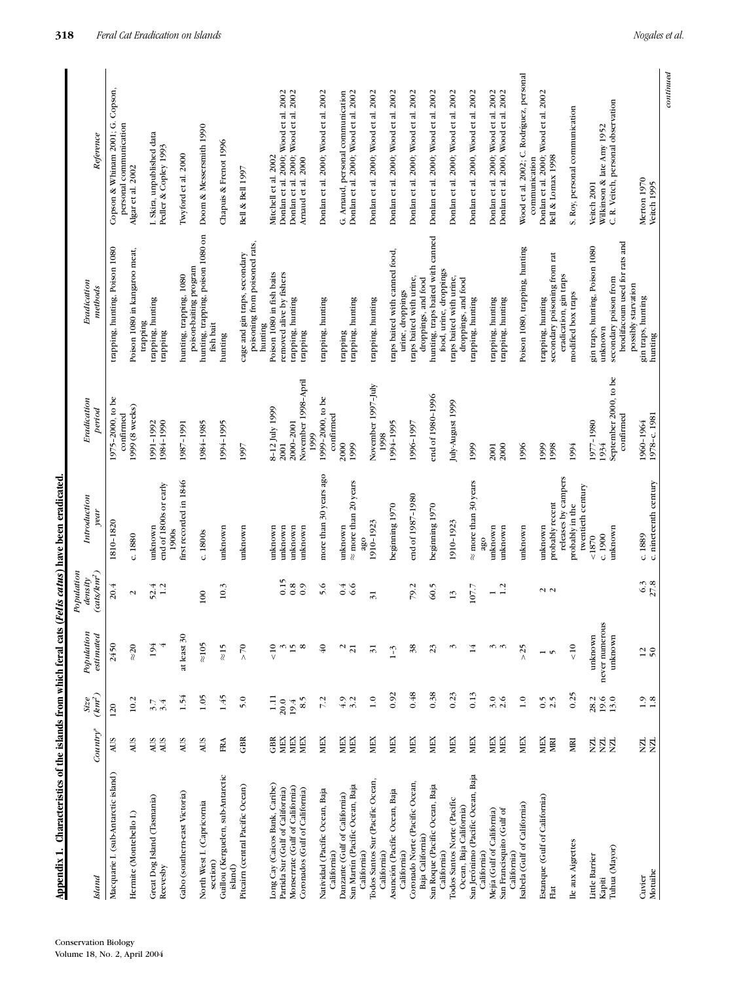| Appendix 1. Characteristics of the islands from which feral cats |                                   |                                             |                                |                                                          | (Felis catus) have been eradicated.  |                               |                                                                |                                                                              |
|------------------------------------------------------------------|-----------------------------------|---------------------------------------------|--------------------------------|----------------------------------------------------------|--------------------------------------|-------------------------------|----------------------------------------------------------------|------------------------------------------------------------------------------|
| Island                                                           | $Country^*$                       | $(km^2)$<br>Size                            | Population<br>estimated        | $\left(\alpha t S/k m^2\right)$<br>Population<br>density | Introduction<br>year                 | Eradication<br>period         | Eradication<br>methods                                         | Reference                                                                    |
| Macquarie I. (sub-Antarctic island)                              | <b>AUS</b>                        | 120                                         | 2450                           | 20.4                                                     | 1810-1820                            | 1975-2000, to be              | trapping, hunting, Poison 1080                                 | Copson & Whinam 2001; G. Copson,                                             |
|                                                                  |                                   |                                             |                                |                                                          |                                      | confirmed                     |                                                                | personal communication                                                       |
| Hermite (Montebello I.)                                          | AUS                               | 10.2                                        | $\approx\!\!20$                | $\boldsymbol{\sim}$                                      | c.1880                               | 1999 (8 weeks)                | Poison 1080 in kangaroo meat,                                  | Algar et al. 2002                                                            |
| Great Dog Island (Tasmania)                                      | AUS                               | 3.7                                         | 194                            | 52.4                                                     | unknown                              | 1991-1992                     | trapping, hunting<br>trapping                                  |                                                                              |
| Reevesby                                                         | AUS                               | 3.4                                         |                                | 1.2                                                      | end of 1800s or early<br>1900s       | 1984-1990                     | trapping                                                       | I. Skira, unpublished data<br>Pedler & Copley 1993                           |
| Gabo (southern-east Victoria)                                    | AUS                               | 1.54                                        | at least 30                    |                                                          | first recorded in 1846               | 1987-1991                     | hunting, trapping, 1080                                        | Twyford et al. 2000                                                          |
| North West I. (Capricornia                                       | AUS                               | 1.05                                        | $\approx 105$                  | $\overline{0}$                                           | c.1800s                              | 1984-1985                     | hunting, trapping, poison 1080 on<br>poison-baiting program    | Doom & Messersmith 1990                                                      |
| section)                                                         |                                   |                                             |                                |                                                          |                                      |                               | fish bait                                                      |                                                                              |
| Guillou (Kerguelen, sub-Antarctic<br>island)                     | $_{\rm RA}$                       | 1.45                                        | $\approx$ 15                   | 10.3                                                     | unknown                              | 1994-1995                     | hunting                                                        | Chapuis & Frenot 1996                                                        |
| Pitcairn (central Pacific Ocean)                                 | $\textrm{GB}$                     | 5.0                                         | $>70$                          |                                                          | unknown                              | 1997                          | poisoning from poisoned rats,<br>cage and gin traps, secondary | Bell & Bell 1997                                                             |
| Long Cay (Caicos Bank, Caribe)                                   | $\mathbb{G}\mathbb{B} \mathbb{R}$ |                                             | $\frac{1}{\sqrt{2}}$           |                                                          | unknown                              | 8-12 July 1999                | Poison 1080 in fish baits<br>hunting                           | Mitchell et al. 2002                                                         |
| Partida Sur (Gulf of California)                                 | MEX                               | $\begin{array}{c} 1.11 \\ 20.0 \end{array}$ |                                | 0.15                                                     | unknown                              | 2001                          | removed alive by fishers                                       |                                                                              |
| Monserrate (Gulf of California)                                  | <b>MEX</b>                        | 19.4                                        | $\omega$ $\vec{v}$ $\infty$    | $_{0.8}$                                                 | unknown                              | 2000-2001                     | trapping, hunting                                              | Donlan et al. 2000; Wood et al. 2002<br>Donlan et al. 2000; Wood et al. 2002 |
| Coronados (Gulf of California)                                   | MEX                               | 8.5                                         |                                | $_{0.9}$                                                 | unknown                              | November 1998-April<br>1999   | trapping                                                       | Arnaud et al. 2000                                                           |
| Natividad (Pacific Ocean, Baja<br>California)                    | MEX                               | 7.2                                         | $\overline{\mathcal{L}}$       | 5.6                                                      | more than 30 years ago               | 1999-2000, to be<br>confirmed | trapping, hunting                                              | Donlan et al. 2000; Wood et al. 2002                                         |
| Danzante (Gulf of California)                                    | MEX                               | $4.9$<br>3.2                                | $\mathbf{\mathsf{N}}$          | 0.4                                                      | unknown                              | 2000                          | trapping                                                       | G. Arnaud, personal communication                                            |
| San Martín (Pacific Ocean, Baja<br>California)                   | MEX                               |                                             | $\overline{z}$                 | 6.6                                                      | $\approx$ more than 20 years<br>ago  | 1999                          | trapping, hunting                                              | Donlan et al. 2000; Wood et al. 2002                                         |
| Todos Santos Sur (Pacific Ocean,<br>California)                  | MEX                               | $\overline{1.0}$                            | $\overline{3}$                 | $\overline{31}$                                          | 1910-1923                            | November 1997-July<br>1998    | trapping, hunting                                              | Donlan et al. 2000; Wood et al. 2002                                         |
| Asunción (Pacific Ocean, Baja<br>California)                     | MEX                               | 0.92                                        | $1 - 3$                        |                                                          | beginning 1970                       | 1994-1995                     | traps baited with canned food,<br>urine, droppings             | Donlan et al. 2000; Wood et al. 2002                                         |
| Coronado Norte (Pacific Ocean,                                   | MEX                               | 0.48                                        | 38                             | 79.2                                                     | end of 1987-1980                     | 1996-1997                     | traps baited with urine,                                       | Donlan et al. 2000; Wood et al. 2002                                         |
| San Roque (Pacific Ocean, Baja<br>Baja California)               | MEX                               | 0.38                                        | 23                             | 60.5                                                     | beginning 1970                       | end of 1980-1996              | hunting, traps baited with canned<br>droppings, and food       | Donlan et al. 2000; Wood et al. 2002                                         |
| California)                                                      |                                   |                                             |                                |                                                          |                                      |                               | food, urine, droppings                                         |                                                                              |
| Todos Santos Norte (Pacific<br>Ocean, Baja California)           | MEX                               | 0.23                                        | S                              | $\overline{13}$                                          | 1910-1923                            | July-August 1999              | traps baited with urine,<br>droppings, and food                | Donlan et al. 2000; Wood et al. 2002                                         |
| San Jerónimo (Pacific Ocean, Baja                                | MEX                               | 0.13                                        | 14                             | 107.7                                                    | $\approx$ more than 30 years         | 1999                          | trapping, hunting                                              | Donlan et al. 2000, Wood et al. 2002                                         |
| Mejía (Gulf of California)<br>California)                        |                                   | 3.0                                         |                                |                                                          | unknown<br>ago                       | 2001                          | trapping, hunting                                              |                                                                              |
| San Francisquito (Gulf of                                        | MEX<br>MEX                        | 2.6                                         | $\omega$ $\omega$              | 1.2                                                      | unknown                              | 2000                          | trapping, hunting                                              | Donlan et al. 2000; Wood et al. 2002<br>Donlan et al. 2000, Wood et al. 2002 |
| Isabela (Gulf of California)<br>California)                      | MEX                               | $\overline{1.0}$                            | >25                            |                                                          | unknown                              | 1996                          | Poison 1080, trapping, hunting                                 | Wood et al. 2002; C. Rodríguez, personal                                     |
| Estanque (Gulf of California)                                    |                                   |                                             |                                |                                                          |                                      | 1999                          |                                                                | Donlan et al. 2000; Wood et al. 2002<br>communication                        |
| Flat                                                             | MEX<br>MRI                        | $0.5$<br>2.5                                | $\mathbf{v}$<br>$\blacksquare$ | $\sim$ $\sim$                                            | probably recent<br>unknown           | 1998                          | secondary poisoning from rat<br>trapping, hunting              | Bell & Lomax 1998                                                            |
|                                                                  |                                   |                                             |                                |                                                          | releases by campers                  |                               | eradication, gin traps                                         |                                                                              |
| Ile aux Aigrettes                                                | RЦ                                | 0.25                                        | $\frac{1}{\sqrt{2}}$           |                                                          | twentieth century<br>probably in the | 1994                          | modified box traps                                             | S. Roy, personal communication                                               |
| Little Barrier                                                   | ZК                                | 28.2                                        | unknown                        |                                                          | 1870                                 | 1977-1980                     | gin traps, hunting, Poison 1080                                | Veitch 2001                                                                  |
| Tuhua (Mayor)<br>Kapiti                                          | <b>NN</b>                         | 19.6<br>13.0                                | S.<br>never numerou<br>unknown |                                                          | unknown<br>c. 1900                   | September 2000, to be<br>1934 | secondary poison from<br>unknown                               | C. R. Veitch, personal observation<br>Wilkinson & late Amy 1952              |
|                                                                  |                                   |                                             |                                |                                                          |                                      | confirmed                     | brodifacoum used for rats and<br>possibly starvation           |                                                                              |
| Motuihe<br>Cuvier                                                | <u>ий</u><br>ЙÄ                   | $\begin{array}{c} 1.9 \\ 1.8 \end{array}$   | $12^{12}$                      | $6.\overline{3}$<br>27.8                                 | c. nineteenth century<br>c.1889      | 1978-с. 1981<br>1960-1964     | gin traps, hunting<br>hunting                                  | Merton 1970<br>Veitch 1995                                                   |
|                                                                  |                                   |                                             |                                |                                                          |                                      |                               |                                                                | continued                                                                    |